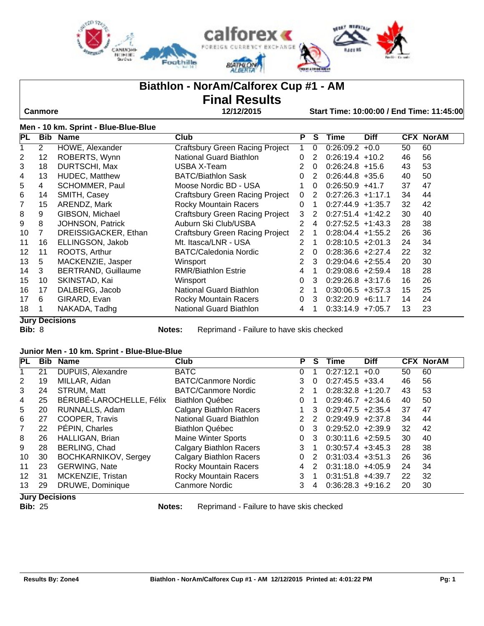

## **Biathlon - NorAm/Calforex Cup #1 - AM**

# **Final Results**

 **Canmore 12/12/2015 Start Time: 10:00:00 / End Time: 11:45:00**

### **Men - 10 km. Sprint - Blue-Blue-Blue**

| PL                | <b>Bib</b>     | <b>Name</b>                | Club                                   | Р              | S | Time                 | <b>Diff</b> |    | <b>CFX NorAM</b> |
|-------------------|----------------|----------------------------|----------------------------------------|----------------|---|----------------------|-------------|----|------------------|
|                   | $\overline{2}$ | HOWE, Alexander            | <b>Craftsbury Green Racing Project</b> |                | 0 | 0:26:09.2            | $+0.0$      | 50 | 60               |
| 2                 | 12             | ROBERTS, Wynn              | National Guard Biathlon                | $\Omega$       | 2 | $0:26:19.4$ +10.2    |             | 46 | 56               |
| 3                 | 18             | DURTSCHI, Max              | USBA X-Team                            | 2              | 0 | $0:26:24.8$ +15.6    |             | 43 | 53               |
| 4                 | 13             | <b>HUDEC, Matthew</b>      | <b>BATC/Biathlon Sask</b>              | 0              | 2 | $0:26:44.8$ +35.6    |             | 40 | 50               |
| 5                 | 4              | <b>SCHOMMER, Paul</b>      | Moose Nordic BD - USA                  |                | 0 | $0:26:50.9$ +41.7    |             | 37 | 47               |
| 6                 | 14             | SMITH, Casey               | Craftsbury Green Racing Project        | $\Omega$       | 2 | $0:27:26.3$ +1:17.1  |             | 34 | 44               |
| 7                 | 15             | ARENDZ, Mark               | <b>Rocky Mountain Racers</b>           | 0              |   | $0:27:44.9$ +1:35.7  |             | 32 | 42               |
| 8                 | 9              | GIBSON, Michael            | <b>Craftsbury Green Racing Project</b> | 3              | 2 | $0:27:51.4$ +1:42.2  |             | 30 | 40               |
| 9                 | 8              | JOHNSON, Patrick           | Auburn Ski Club/USBA                   | 2              | 4 | $0:27:52.5$ +1:43.3  |             | 28 | 38               |
| 10                | 7              | DREISSIGACKER, Ethan       | Craftsbury Green Racing Project        | 2              | 1 | $0:28:04.4$ +1:55.2  |             | 26 | 36               |
| 11                | 16             | ELLINGSON, Jakob           | Mt. Itasca/LNR - USA                   | $\mathcal{P}$  | 1 | $0:28:10.5 +2:01.3$  |             | 24 | 34               |
| $12 \overline{ }$ | 11             | ROOTS, Arthur              | <b>BATC/Caledonia Nordic</b>           | 2              | 0 | $0:28:36.6$ +2:27.4  |             | 22 | 32               |
| 13                | 5              | MACKENZIE, Jasper          | Winsport                               | $\overline{2}$ | 3 | $0:29:04.6$ +2:55.4  |             | 20 | 30               |
| 14                | 3              | <b>BERTRAND, Guillaume</b> | <b>RMR/Biathlon Estrie</b>             | 4              |   | $0:29:08.6 + 2:59.4$ |             | 18 | 28               |
| 15                | 10             | SKINSTAD, Kai              | Winsport                               | 0              | 3 | $0:29:26.8$ +3:17.6  |             | 16 | 26               |
| 16                | 17             | DALBERG, Jacob             | <b>National Guard Biathlon</b>         | $\overline{2}$ | 1 | $0:30:06.5 +3:57.3$  |             | 15 | 25               |
| 17                | 6              | GIRARD, Evan               | <b>Rocky Mountain Racers</b>           | $\Omega$       | 3 | $0:32:20.9 + 6:11.7$ |             | 14 | 24               |
| 18                |                | NAKADA, Tadhg              | National Guard Biathlon                | 4              |   | $0:33:14.9$ +7:05.7  |             | 13 | 23               |
|                   |                | <b>Jury Decisions</b>      |                                        |                |   |                      |             |    |                  |

**Bib:** 8 **Notes:** Reprimand - Failure to have skis checked

#### **Junior Men - 10 km. Sprint - Blue-Blue-Blue**

| <b>PL</b>      | Bib | <b>Name</b>                        | Club                           | Р        | S             | Time                | Diff   |    | <b>CFX NorAM</b> |
|----------------|-----|------------------------------------|--------------------------------|----------|---------------|---------------------|--------|----|------------------|
|                | 21  | <b>DUPUIS, Alexandre</b>           | <b>BATC</b>                    | 0        |               | 0:27:12.1           | $+0.0$ | 50 | 60               |
| 2              | 19  | MILLAR, Aidan                      | <b>BATC/Canmore Nordic</b>     | 3        | $\Omega$      | $0:27:45.5$ +33.4   |        | 46 | 56               |
| 3              | 24  | STRUM, Matt                        | <b>BATC/Canmore Nordic</b>     | 2        |               | $0:28:32.8$ +1:20.7 |        | 43 | 53               |
| 4              | 25  | BÉRUBÉ-LAROCHELLE, Félix           | Biathlon Québec                | 0        |               | $0:29:46.7$ +2:34.6 |        | 40 | 50               |
| 5              | 20  | RUNNALLS, Adam                     | <b>Calgary Biathlon Racers</b> |          | 3             | $0:29:47.5$ +2:35.4 |        | 37 | 47               |
| 6              | 27  | COOPER, Travis                     | <b>National Guard Biathlon</b> |          | $\mathcal{P}$ | $0:29:49.9$ +2:37.8 |        | 34 | 44               |
| $\overline{7}$ | 22  | PÉPIN, Charles                     | <b>Biathlon Québec</b>         | 0        | 3             | $0:29:52.0 +2:39.9$ |        | 32 | 42               |
| 8              | 26  | HALLIGAN, Brian                    | <b>Maine Winter Sports</b>     | 0        | 3             | $0:30:11.6$ +2:59.5 |        | 30 | 40               |
| 9              | 28  | BERLING, Chad                      | <b>Calgary Biathlon Racers</b> | 3        |               | $0:30:57.4$ +3:45.3 |        | 28 | 38               |
| 10             | 30  | <b>BOCHKARNIKOV, Sergey</b>        | <b>Calgary Biathlon Racers</b> | $\Omega$ | 2             | $0:31:03.4$ +3:51.3 |        | 26 | 36               |
| 11             | 23  | <b>GERWING, Nate</b>               | Rocky Mountain Racers          | 4        | $\mathcal{P}$ | $0:31:18.0 +4:05.9$ |        | 24 | 34               |
| 12             | 31  | MCKENZIE, Tristan                  | Rocky Mountain Racers          | 3        |               | $0:31:51.8$ +4:39.7 |        | 22 | 32               |
| 13             | 29  | DRUWE, Dominique<br><del>. .</del> | Canmore Nordic                 | 3        | 4             | $0:36:28.3 +9:16.2$ |        | 20 | 30               |

**Jury Decisions**

**Notes:** Reprimand - Failure to have skis checked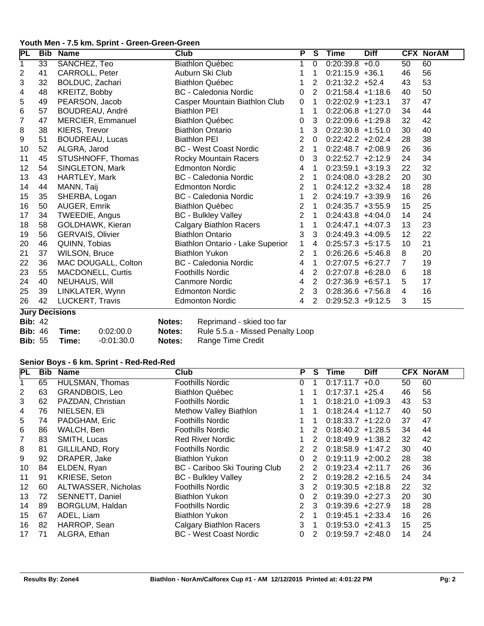#### **Youth Men - 7.5 km. Sprint - Green-Green-Green**

| <b>Bib</b>      | <b>Name</b>              | <b>Club</b>                                               | P              | S | Time | <b>Diff</b> |                                                                                                                                                                                                                                                                                                                                                                                                                                                                                                                                                                                                       | <b>CFX NorAM</b> |
|-----------------|--------------------------|-----------------------------------------------------------|----------------|---|------|-------------|-------------------------------------------------------------------------------------------------------------------------------------------------------------------------------------------------------------------------------------------------------------------------------------------------------------------------------------------------------------------------------------------------------------------------------------------------------------------------------------------------------------------------------------------------------------------------------------------------------|------------------|
| $\overline{33}$ | SANCHEZ, Teo             | <b>Biathlon Québec</b>                                    | 1              | 0 |      | $+0.0$      | $\overline{50}$                                                                                                                                                                                                                                                                                                                                                                                                                                                                                                                                                                                       | 60               |
| 41              | CARROLL, Peter           | Auburn Ski Club                                           |                | 1 |      |             | 46                                                                                                                                                                                                                                                                                                                                                                                                                                                                                                                                                                                                    | 56               |
| 32              | BOLDUC, Zachari          | <b>Biathlon Québec</b>                                    |                | 2 |      |             | 43                                                                                                                                                                                                                                                                                                                                                                                                                                                                                                                                                                                                    | 53               |
| 48              | KREITZ, Bobby            | <b>BC</b> - Caledonia Nordic                              | 0              | 2 |      |             | 40                                                                                                                                                                                                                                                                                                                                                                                                                                                                                                                                                                                                    | 50               |
| 49              | PEARSON, Jacob           | Casper Mountain Biathlon Club                             | 0              | 1 |      |             | 37                                                                                                                                                                                                                                                                                                                                                                                                                                                                                                                                                                                                    | 47               |
| 57              |                          | <b>Biathlon PEI</b>                                       | 1              | 1 |      |             | 34                                                                                                                                                                                                                                                                                                                                                                                                                                                                                                                                                                                                    | 44               |
| 47              | MERCIER, Emmanuel        | <b>Biathlon Québec</b>                                    | 0              | 3 |      |             | 32                                                                                                                                                                                                                                                                                                                                                                                                                                                                                                                                                                                                    | 42               |
| 38              | KIERS, Trevor            | <b>Biathlon Ontario</b>                                   | 1              | 3 |      |             | 30                                                                                                                                                                                                                                                                                                                                                                                                                                                                                                                                                                                                    | 40               |
| 51              | <b>BOUDREAU, Lucas</b>   | <b>Biathlon PEI</b>                                       | 2              | 0 |      |             | 28                                                                                                                                                                                                                                                                                                                                                                                                                                                                                                                                                                                                    | 38               |
| 52              | ALGRA, Jarod             | <b>BC</b> - West Coast Nordic                             | $\overline{2}$ | 1 |      |             | 26                                                                                                                                                                                                                                                                                                                                                                                                                                                                                                                                                                                                    | 36               |
| 45              | STUSHNOFF, Thomas        | Rocky Mountain Racers                                     | $\mathbf 0$    | 3 |      |             | 24                                                                                                                                                                                                                                                                                                                                                                                                                                                                                                                                                                                                    | 34               |
| 54              | SINGLETON, Mark          | <b>Edmonton Nordic</b>                                    | 4              | 1 |      |             | 22                                                                                                                                                                                                                                                                                                                                                                                                                                                                                                                                                                                                    | 32               |
| 43              | HARTLEY, Mark            | <b>BC</b> - Caledonia Nordic                              | $\overline{2}$ | 1 |      |             | 20                                                                                                                                                                                                                                                                                                                                                                                                                                                                                                                                                                                                    | 30               |
| 44              | MANN, Taij               | <b>Edmonton Nordic</b>                                    | $\overline{2}$ | 1 |      |             | 18                                                                                                                                                                                                                                                                                                                                                                                                                                                                                                                                                                                                    | 28               |
| 35              | SHERBA, Logan            | <b>BC</b> - Caledonia Nordic                              | 1              | 2 |      |             | 16                                                                                                                                                                                                                                                                                                                                                                                                                                                                                                                                                                                                    | 26               |
| 50              | AUGER, Emrik             | <b>Biathlon Québec</b>                                    | $\overline{2}$ | 1 |      |             | 15                                                                                                                                                                                                                                                                                                                                                                                                                                                                                                                                                                                                    | 25               |
| 34              | TWEEDIE, Angus           | <b>BC</b> - Bulkley Valley                                | $\overline{2}$ | 1 |      |             | 14                                                                                                                                                                                                                                                                                                                                                                                                                                                                                                                                                                                                    | 24               |
| 58              | GOLDHAWK, Kieran         | <b>Calgary Biathlon Racers</b>                            | 1              | 1 |      |             | 13                                                                                                                                                                                                                                                                                                                                                                                                                                                                                                                                                                                                    | 23               |
| 56              | <b>GERVAIS, Olivier</b>  | <b>Biathlon Ontario</b>                                   | 3              | 3 |      |             | 12                                                                                                                                                                                                                                                                                                                                                                                                                                                                                                                                                                                                    | 22               |
| 46              | QUINN, Tobias            | Biathlon Ontario - Lake Superior                          | 1              | 4 |      |             | 10                                                                                                                                                                                                                                                                                                                                                                                                                                                                                                                                                                                                    | 21               |
| 37              |                          | <b>Biathlon Yukon</b>                                     | 2              | 1 |      |             | 8                                                                                                                                                                                                                                                                                                                                                                                                                                                                                                                                                                                                     | 20               |
| 36              | MAC DOUGALL, Colton      | <b>BC</b> - Caledonia Nordic                              | 4              | 1 |      |             | 7                                                                                                                                                                                                                                                                                                                                                                                                                                                                                                                                                                                                     | 19               |
| 55              | <b>MACDONELL, Curtis</b> | <b>Foothills Nordic</b>                                   | 4              | 2 |      |             | 6                                                                                                                                                                                                                                                                                                                                                                                                                                                                                                                                                                                                     | 18               |
| 40              | NEUHAUS, Will            | Canmore Nordic                                            | 4              | 2 |      |             | 5                                                                                                                                                                                                                                                                                                                                                                                                                                                                                                                                                                                                     | 17               |
| 39              | LINKLATER, Wynn          | <b>Edmonton Nordic</b>                                    | $\overline{2}$ | 3 |      |             | 4                                                                                                                                                                                                                                                                                                                                                                                                                                                                                                                                                                                                     | 16               |
| 42              | LUCKERT, Travis          | <b>Edmonton Nordic</b>                                    | 4              | 2 |      |             | 3                                                                                                                                                                                                                                                                                                                                                                                                                                                                                                                                                                                                     | 15               |
|                 |                          | BOUDREAU, André<br>WILSON, Bruce<br><b>Luny Docicions</b> |                |   |      |             | 0:20:39.8<br>$0:21:15.9$ +36.1<br>$0:21:32.2 +52.4$<br>$0:21:58.4 +1:18.6$<br>$0:22:02.9$ +1:23.1<br>$0:22:06.8$ +1:27.0<br>$0:22:09.6$ +1:29.8<br>$0:22:30.8 +1:51.0$<br>$0:22:42.2$ +2:02.4<br>$0:22:48.7$ +2:08.9<br>$0:22:52.7$ +2:12.9<br>$0:23:59.1 +3:19.3$<br>$0:24:08.0 +3:28.2$<br>$0:24:12.2 +3:32.4$<br>$0:24:19.7 +3:39.9$<br>$0:24:35.7$ +3:55.9<br>$0:24:43.8$ +4:04.0<br>$0:24:47.1 +4:07.3$<br>$0:24:49.3 +4:09.5$<br>$0:25:57.3$ +5:17.5<br>$0:26:26.6 + 5:46.8$<br>$0:27:07.5$ +6:27.7<br>$0:27:07.8$ +6:28.0<br>$0:27:36.9$ +6:57.1<br>$0:28:36.6$ +7:56.8<br>$0:29:52.3 +9:12.5$ |                  |

**Jury Decisions**<br>Bib: 42

| <b>BID: 42</b>              |            |        | <b>Notes:</b> Reprimand - Skied to |
|-----------------------------|------------|--------|------------------------------------|
| <b>Bib:</b> 46 <b>Time:</b> | 0:02:00.0  | Notes: | Rule 5.5.a - Missed                |
| <b>Bib:</b> 55 <b>Time:</b> | -0:01:30.0 | Notes: | Range Time Credit                  |

**Notes:** Reprimand - skied too far<br>**Notes:** Rule 5.5.a - Missed Penal **Bib:** 46 **Time:** 0:02:00.0 **Notes:** Rule 5.5.a - Missed Penalty Loop

#### **Senior Boys - 6 km. Sprint - Red-Red-Red**

| PL | Bib | <b>Name</b>            | Club                           | P              | S             | Time                 | <b>Diff</b> |    | <b>CFX NorAM</b> |
|----|-----|------------------------|--------------------------------|----------------|---------------|----------------------|-------------|----|------------------|
|    | 65  | <b>HULSMAN, Thomas</b> | <b>Foothills Nordic</b>        | 0              |               | 0:17:11.7            | $+0.0$      | 50 | 60               |
| 2  | 63  | GRANDBOIS, Leo         | <b>Biathlon Québec</b>         |                |               | $0:17:37.1$ +25.4    |             | 46 | 56               |
| 3  | 62  | PAZDAN, Christian      | <b>Foothills Nordic</b>        |                |               | $0:18:21.0 +1:09.3$  |             | 43 | 53               |
| 4  | 76  | NIELSEN, Eli           | Methow Valley Biathlon         |                |               | $0:18:24.4$ +1:12.7  |             | 40 | 50               |
| 5  | 74  | PADGHAM, Eric          | <b>Foothills Nordic</b>        |                |               | $0:18:33.7 +1:22.0$  |             | 37 | 47               |
| 6  | 86  | WALCH, Ben             | <b>Foothills Nordic</b>        |                | 2             | $0:18:40.2 +1:28.5$  |             | 34 | 44               |
| 7  | 83  | SMITH, Lucas           | Red River Nordic               |                | 2             | $0:18:49.9 +1:38.2$  |             | 32 | 42               |
| 8  | 81  | GILLILAND, Rory        | <b>Foothills Nordic</b>        | 2              | 2             | $0:18:58.9$ +1:47.2  |             | 30 | 40               |
| 9  | 92  | DRAPER, Jake           | Biathlon Yukon                 | 0              | 2             | $0:19:11.9 + 2:00.2$ |             | 28 | 38               |
| 10 | 84  | ELDEN, Ryan            | BC - Cariboo Ski Touring Club  | 2              | $\mathcal{P}$ | $0:19:23.4$ +2:11.7  |             | 26 | 36               |
| 11 | 91  | KRIESE, Seton          | <b>BC</b> - Bulkley Valley     | 2              | 2             | $0:19:28.2 +2:16.5$  |             | 24 | 34               |
| 12 | 60  | ALTWASSER, Nicholas    | <b>Foothills Nordic</b>        | 3              | 2             | $0:19:30.5 +2:18.8$  |             | 22 | 32               |
| 13 | 72  | SENNETT, Daniel        | Biathlon Yukon                 | 0              | 2             | $0:19:39.0 +2:27.3$  |             | 20 | 30               |
| 14 | 89  | BORGLUM, Haldan        | <b>Foothills Nordic</b>        | $\overline{2}$ | 3             | $0:19:39.6 +2:27.9$  |             | 18 | 28               |
| 15 | 67  | ADEL, Liam             | Biathlon Yukon                 | 2              |               | $0:19:45.1 +2:33.4$  |             | 16 | 26               |
| 16 | 82  | HARROP, Sean           | <b>Calgary Biathlon Racers</b> | 3              |               | $0:19:53.0 +2:41.3$  |             | 15 | 25               |
| 17 | 71  | ALGRA, Ethan           | <b>BC</b> - West Coast Nordic  | $\Omega$       | 2             | $0:19:59.7 +2:48.0$  |             | 14 | 24               |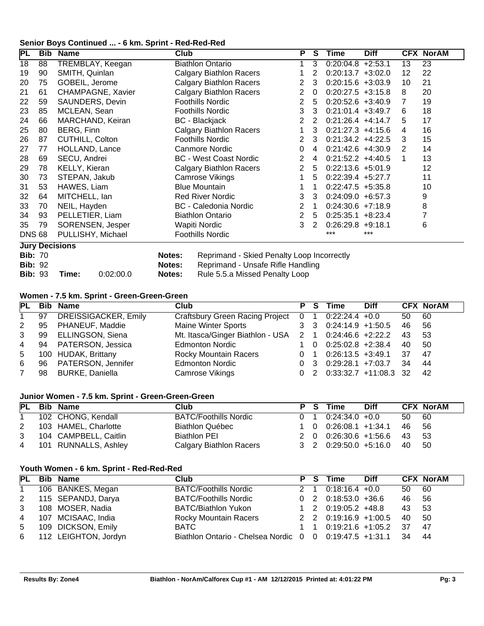#### **Senior Boys Continued ... - 6 km. Sprint - Red-Red-Red**

| PL             | Bib | <b>Name</b>           | <b>Club</b> |                                            | P              | S              | Time                 | <b>Diff</b> |                 | <b>CFX NorAM</b> |
|----------------|-----|-----------------------|-------------|--------------------------------------------|----------------|----------------|----------------------|-------------|-----------------|------------------|
| 18             | 88  | TREMBLAY, Keegan      |             | <b>Biathlon Ontario</b>                    | 1              | 3              | $0:20:04.8$ +2:53.1  |             | $\overline{13}$ | 23               |
| 19             | 90  | SMITH, Quinlan        |             | <b>Calgary Biathlon Racers</b>             |                | 2              | $0:20:13.7 +3:02.0$  |             | 12              | 22               |
| 20             | 75  | GOBEIL, Jerome        |             | <b>Calgary Biathlon Racers</b>             | $\overline{2}$ | 3              | $0:20:15.6 +3:03.9$  |             | 10              | 21               |
| 21             | 61  | CHAMPAGNE, Xavier     |             | <b>Calgary Biathlon Racers</b>             | 2              | $\overline{0}$ | $0:20:27.5$ +3:15.8  |             | 8               | 20               |
| 22             | 59  | SAUNDERS, Devin       |             | <b>Foothills Nordic</b>                    | $\overline{2}$ | 5              | $0:20:52.6 +3:40.9$  |             | 7               | 19               |
| 23             | 85  | MCLEAN, Sean          |             | <b>Foothills Nordic</b>                    | 3              | 3              | $0:21:01.4$ +3:49.7  |             | 6               | 18               |
| 24             | 66  | MARCHAND, Keiran      |             | <b>BC</b> - Blackjack                      | $\overline{2}$ | 2              | $0:21:26.4$ +4:14.7  |             | 5               | 17               |
| 25             | 80  | BERG, Finn            |             | <b>Calgary Biathlon Racers</b>             |                | 3              | $0:21:27.3$ +4:15.6  |             | 4               | 16               |
| 26             | 87  | CUTHILL, Colton       |             | <b>Foothills Nordic</b>                    | 2              | 3              | $0:21:34.2$ +4:22.5  |             | 3               | 15               |
| 27             | 77  | HOLLAND, Lance        |             | Canmore Nordic                             | 0              | 4              | $0:21:42.6 +4:30.9$  |             | 2               | 14               |
| 28             | 69  | SECU, Andrei          |             | <b>BC</b> - West Coast Nordic              | $\overline{2}$ | 4              | $0:21:52.2$ +4:40.5  |             | 1               | 13               |
| 29             | 78  | KELLY, Kieran         |             | <b>Calgary Biathlon Racers</b>             | $\overline{2}$ | 5              | $0:22:13.6 +5:01.9$  |             |                 | 12               |
| 30             | 73  | STEPAN, Jakub         |             | Camrose Vikings                            | 1              | 5              | $0:22:39.4$ +5:27.7  |             |                 | 11               |
| 31             | 53  | HAWES, Liam           |             | <b>Blue Mountain</b>                       | 1              |                | $0:22:47.5$ +5:35.8  |             |                 | 10               |
| 32             | 64  | MITCHELL, Ian         |             | <b>Red River Nordic</b>                    | 3              | 3              | $0:24:09.0 + 6:57.3$ |             |                 | 9                |
| 33             | 70  | NEIL, Hayden          |             | BC - Caledonia Nordic                      | 2              | 1              | $0:24:30.6$ +7:18.9  |             |                 | 8                |
| 34             | 93  | PELLETIER, Liam       |             | <b>Biathlon Ontario</b>                    | 2              | 5              | $0:25:35.1 + 8:23.4$ |             |                 |                  |
| 35             | 79  | SORENSEN, Jesper      |             | Wapiti Nordic                              | 3              | 2              | $0:26:29.8$ +9:18.1  |             |                 | 6                |
| <b>DNS 68</b>  |     | PULLISHY, Michael     |             | <b>Foothills Nordic</b>                    |                |                | ***                  | ***         |                 |                  |
|                |     | <b>Jury Decisions</b> |             |                                            |                |                |                      |             |                 |                  |
| <b>Bib: 70</b> |     |                       | Notes:      | Reprimand - Skied Penalty Loop Incorrectly |                |                |                      |             |                 |                  |
| <b>Bib: 92</b> |     |                       | Notes:      | Reprimand - Unsafe Rifle Handling          |                |                |                      |             |                 |                  |
| <b>Bib: 93</b> |     | 0:02:00.0<br>Time:    | Notes:      | Rule 5.5.a Missed Penalty Loop             |                |                |                      |             |                 |                  |

#### **Women - 7.5 km. Sprint - Green-Green-Green**

| <b>PL</b>      |    | <b>Bib Name</b>             | Club                                                   | P. | - S | Time                                      | <b>Diff</b> |     | <b>CFX NorAM</b> |
|----------------|----|-----------------------------|--------------------------------------------------------|----|-----|-------------------------------------------|-------------|-----|------------------|
| $1 \quad$      | 97 | <b>DREISSIGACKER, Emily</b> | Craftsbury Green Racing Project 0 1 0:22:24.4 +0.0     |    |     |                                           |             | 50  | 60               |
| 2              | 95 | PHANEUF, Maddie             | <b>Maine Winter Sports</b>                             |    |     | $3 \quad 3 \quad 0:24:14.9 \quad +1:50.5$ |             | 46  | - 56             |
| 3              | 99 | ELLINGSON, Siena            | Mt. Itasca/Ginger Biathlon - USA 2 1 0:24:46.6 +2:22.2 |    |     |                                           |             | 43  | -53              |
| $\overline{4}$ |    | 94 PATERSON, Jessica        | <b>Edmonton Nordic</b>                                 |    |     | $1 \quad 0 \quad 0:25:02.8$ +2:38.4       |             | 40  | -50              |
| 5              |    | 100 HUDAK, Brittany         | <b>Rocky Mountain Racers</b>                           |    |     | $0 \quad 1 \quad 0.2613.5 \quad +3.49.1$  |             | -37 | 47               |
| 6              | 96 | PATERSON, Jennifer          | <b>Edmonton Nordic</b>                                 |    |     | $0 \quad 3 \quad 0:29:28.1 \quad +7:03.7$ |             | 34  | 44               |
| $7^{\circ}$    | 98 | <b>BURKE, Daniella</b>      | Camrose Vikings                                        |    |     | 0 2 0:33:32.7 +11:08.3 32                 |             |     | 42               |

#### **Junior Women - 7.5 km. Sprint - Green-Green-Green**

|              | PL Bib Name            | Club                         |  | P S Time                               | <b>Diff</b> |       | <b>CFX NorAM</b> |
|--------------|------------------------|------------------------------|--|----------------------------------------|-------------|-------|------------------|
| $\mathbf{1}$ | 102 CHONG, Kendall     | <b>BATC/Foothills Nordic</b> |  | $0 \quad 1 \quad 0:24:34.0 \quad +0.0$ |             | 50 60 |                  |
| 2            | 103 HAMEL, Charlotte   | <b>Biathlon Québec</b>       |  | 1 0 0:26:08.1 +1:34.1 46 56            |             |       |                  |
| 3            | 104 CAMPBELL, Caitlin  | Biathlon PEI                 |  | 2 0 0:26:30.6 +1:56.6 43 53            |             |       |                  |
|              | 4 101 RUNNALLS, Ashley | Calgary Biathlon Racers      |  | 3 2 0:29:50.0 +5:16.0                  |             | 40 50 |                  |

#### **Youth Women - 6 km. Sprint - Red-Red-Red**

|                | PL Bib Name            | Club                                                       |  | P S Time                                | <b>Diff</b> |       | <b>CFX NorAM</b> |
|----------------|------------------------|------------------------------------------------------------|--|-----------------------------------------|-------------|-------|------------------|
|                | 106 BANKES, Megan      | <b>BATC/Foothills Nordic</b>                               |  | $2 \quad 1 \quad 0:18:16.4 \quad +0.0$  |             | 50 60 |                  |
|                | 2 115 SEPANDJ, Darya   | <b>BATC/Foothills Nordic</b>                               |  | $0 \quad 2 \quad 0:18:53.0 \quad +36.6$ |             | 46 56 |                  |
| 3 <sup>1</sup> | 108 MOSER, Nadia       | <b>BATC/Biathlon Yukon</b>                                 |  | 1 2 0:19:05.2 +48.8                     |             | 43    | - 53             |
|                | 4 107 MCISAAC, India   | <b>Rocky Mountain Racers</b>                               |  | 2 2 0:19:16.9 +1:00.5 40                |             |       | - 50             |
| 5 <sub>5</sub> | 109 DICKSON, Emily     | BATC.                                                      |  | 1 1 0:19:21.6 +1:05.2 37                |             |       | -47              |
|                | 6 112 LEIGHTON, Jordyn | Biathlon Ontario - Chelsea Nordic 0 0 0:19:47.5 +1:31.1 34 |  |                                         |             |       | - 44             |